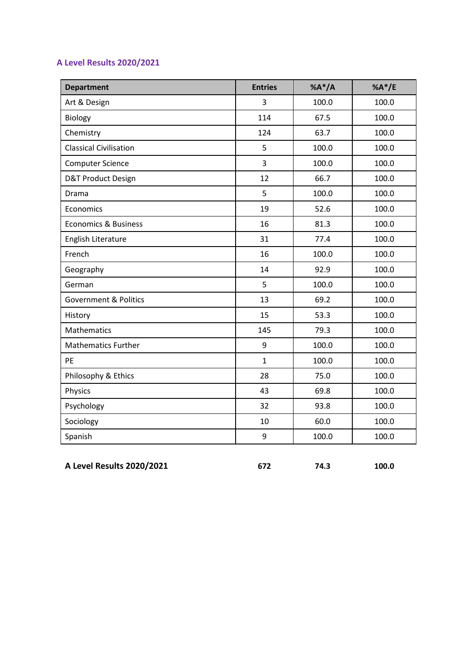## **A Level Results 2020/2021**

| <b>Department</b>                | <b>Entries</b> | $%A^*/A$ | % $A^*/E$ |
|----------------------------------|----------------|----------|-----------|
| Art & Design                     | 3              | 100.0    | 100.0     |
| Biology                          | 114            | 67.5     | 100.0     |
| Chemistry                        | 124            | 63.7     | 100.0     |
| <b>Classical Civilisation</b>    | 5              | 100.0    | 100.0     |
| <b>Computer Science</b>          | 3              | 100.0    | 100.0     |
| <b>D&amp;T Product Design</b>    | 12             | 66.7     | 100.0     |
| Drama                            | 5              | 100.0    | 100.0     |
| Economics                        | 19             | 52.6     | 100.0     |
| <b>Economics &amp; Business</b>  | 16             | 81.3     | 100.0     |
| English Literature               | 31             | 77.4     | 100.0     |
| French                           | 16             | 100.0    | 100.0     |
| Geography                        | 14             | 92.9     | 100.0     |
| German                           | 5              | 100.0    | 100.0     |
| <b>Government &amp; Politics</b> | 13             | 69.2     | 100.0     |
| History                          | 15             | 53.3     | 100.0     |
| Mathematics                      | 145            | 79.3     | 100.0     |
| <b>Mathematics Further</b>       | 9              | 100.0    | 100.0     |
| PE                               | $\mathbf{1}$   | 100.0    | 100.0     |
| Philosophy & Ethics              | 28             | 75.0     | 100.0     |
| Physics                          | 43             | 69.8     | 100.0     |
| Psychology                       | 32             | 93.8     | 100.0     |
| Sociology                        | 10             | 60.0     | 100.0     |
| Spanish                          | 9              | 100.0    | 100.0     |

**A Level Results 2020/2021 672 74.3 100.0**